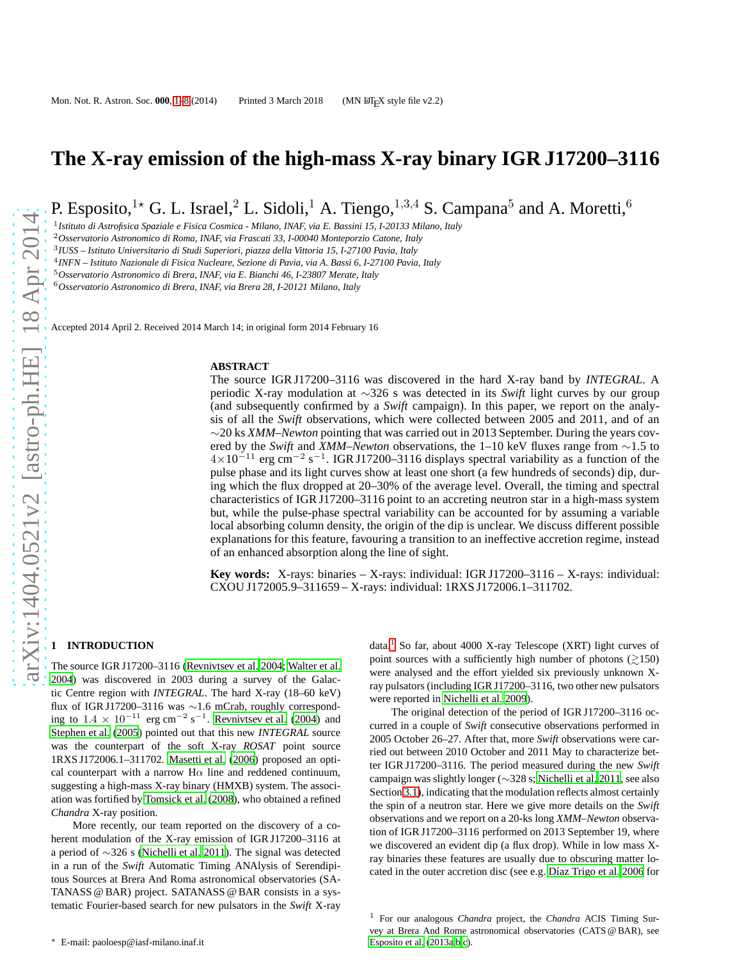# **The X-ray emission of the high-mass X-ray binary IGR J17200–3116**

P. Esposito,<sup>1\*</sup> G. L. Israel,<sup>2</sup> L. Sidoli,<sup>1</sup> A. Tiengo,<sup>1,3,4</sup> S. Campana<sup>5</sup> and A. Moretti,<sup>6</sup>

1 *Istituto di Astrofisica Spaziale e Fisica Cosmica - Milano, INAF, via E. Bassini 15, I-20133 Milano, Italy*

<sup>2</sup>*Osservatorio Astronomico di Roma, INAF, via Frascati 33, I-00040 Monteporzio Catone, Italy*

3 *IUSS – Istituto Universitario di Studi Superiori, piazza della Vittoria 15, I-27100 Pavia, Italy*

4 *INFN – Istituto Nazionale di Fisica Nucleare, Sezione di Pavia, via A. Bassi 6, I-27100 Pavia, Italy*

<sup>5</sup>*Osservatorio Astronomico di Brera, INAF, via E. Bianchi 46, I-23807 Merate, Italy*

<sup>6</sup>*Osservatorio Astronomico di Brera, INAF, via Brera 28, I-20121 Milano, Italy*

Accepted 2014 April 2. Received 2014 March 14; in original form 2014 February 16

#### **ABSTRACT**

The source IGR J17200–3116 was discovered in the hard X-ray band by *INTEGRAL*. A periodic X-ray modulation at ∼326 s was detected in its *Swift* light curves by our group (and subsequently confirmed by a *Swift* campaign). In this paper, we report on the analysis of all the *Swift* observations, which were collected between 2005 and 2011, and of an ∼20 ks *XMM–Newton* pointing that was carried out in 2013 September. During the years covered by the *Swift* and *XMM–Newton* observations, the 1–10 keV fluxes range from ∼1.5 to  $4 \times 10^{-11}$  erg cm<sup>-2</sup> s<sup>-1</sup>. IGR J17200-3116 displays spectral variability as a function of the pulse phase and its light curves show at least one short (a few hundreds of seconds) dip, during which the flux dropped at 20–30% of the average level. Overall, the timing and spectral characteristics of IGR J17200–3116 point to an accreting neutron star in a high-mass system but, while the pulse-phase spectral variability can be accounted for by assuming a variable local absorbing column density, the origin of the dip is unclear. We discuss different possible explanations for this feature, favouring a transition to an ineffective accretion regime, instead of an enhanced absorption along the line of sight.

**Key words:** X-rays: binaries – X-rays: individual: IGR J17200–3116 – X-rays: individual: CXOU J172005.9–311659 – X-rays: individual: 1RXS J172006.1–311702.

## <span id="page-0-0"></span>**1 INTRODUCTION**

The source IGR J17200–3116 [\(Revnivtsev et al. 2004](#page-7-0); [Walter et al.](#page-7-1) [2004\)](#page-7-1) was discovered in 2003 during a survey of the Galactic Centre region with *INTEGRAL*. The hard X-ray (18–60 keV) flux of IGR J17200–3116 was ∼1.6 mCrab, roughly corresponding to  $1.4 \times 10^{-11}$  erg cm<sup>-2</sup> s<sup>-1</sup>. [Revnivtsev et al. \(2004](#page-7-0)) and [Stephen et al. \(2005](#page-7-2)) pointed out that this new *INTEGRAL* source was the counterpart of the soft X-ray *ROSAT* point source 1RXS J172006.1–311702. [Masetti et al. \(2006](#page-7-3)) proposed an optical counterpart with a narrow  $H\alpha$  line and reddened continuum, suggesting a high-mass X-ray binary (HMXB) system. The association was fortified by [Tomsick et al. \(2008\)](#page-7-4), who obtained a refined *Chandra* X-ray position.

More recently, our team reported on the discovery of a coherent modulation of the X-ray emission of IGR J17200–3116 at a period of ∼326 s [\(Nichelli et al. 2011](#page-7-5)). The signal was detected in a run of the *Swift* Automatic Timing ANAlysis of Serendipitous Sources at Brera And Roma astronomical observatories (SA-TANASS @ BAR) project. SATANASS @ BAR consists in a systematic Fourier-based search for new pulsators in the *Swift* X-ray

data.<sup>[1](#page-0-1)</sup> So far, about 4000 X-ray Telescope (XRT) light curves of point sources with a sufficiently high number of photons  $\left(\geq 150\right)$ were analysed and the effort yielded six previously unknown Xray pulsators (including IGR J17200–3116, two other new pulsators were reported in [Nichelli et al. 2009\)](#page-7-6).

The original detection of the period of IGR J17200–3116 occurred in a couple of *Swift* consecutive observations performed in 2005 October 26–27. After that, more *Swift* observations were carried out between 2010 October and 2011 May to characterize better IGR J17200–3116. The period measured during the new *Swift* campaign was slightly longer (∼328 s; [Nichelli et al. 2011](#page-7-5), see also Sectio[n 3.1\)](#page-1-0), indicating that the modulation reflects almost certainly the spin of a neutron star. Here we give more details on the *Swift* observations and we report on a 20-ks long *XMM–Newton* observation of IGR J17200–3116 performed on 2013 September 19, where we discovered an evident dip (a flux drop). While in low mass Xray binaries these features are usually due to obscuring matter lo-cated in the outer accretion disc (see e.g. Díaz Trigo et al. [2006](#page-7-7) for

<span id="page-0-1"></span><sup>1</sup> For our analogous *Chandra* project, the *Chandra* ACIS Timing Survey at Brera And Rome astronomical observatories (CATS @ BAR), see [Esposito et al. \(2013a](#page-7-8)[,b](#page-7-9)[,c\)](#page-7-10).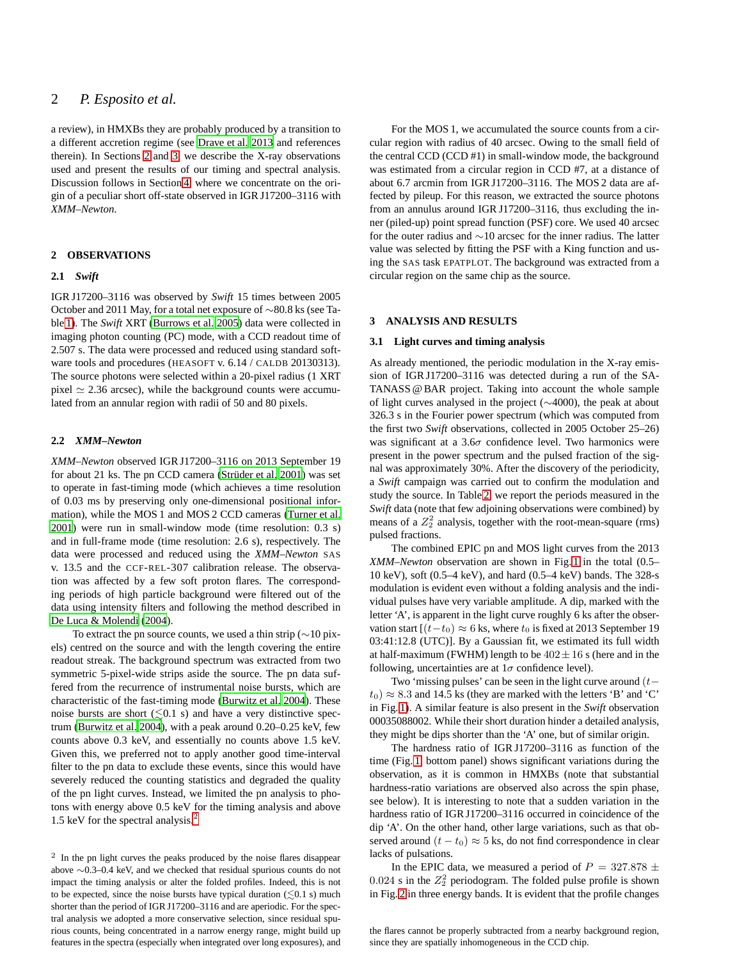# 2 *P. Esposito et al.*

a review), in HMXBs they are probably produced by a transition to a different accretion regime (see [Drave et al. 2013](#page-7-11) and references therein). In Sections [2](#page-1-1) and [3,](#page-1-2) we describe the X-ray observations used and present the results of our timing and spectral analysis. Discussion follows in Section [4,](#page-4-0) where we concentrate on the origin of a peculiar short off-state observed in IGR J17200–3116 with *XMM–Newton*.

## <span id="page-1-1"></span>**2 OBSERVATIONS**

## **2.1** *Swift*

IGR J17200–3116 was observed by *Swift* 15 times between 2005 October and 2011 May, for a total net exposure of ∼80.8 ks (see Table [1\)](#page-2-0). The *Swift* XRT [\(Burrows et al. 2005\)](#page-7-12) data were collected in imaging photon counting (PC) mode, with a CCD readout time of 2.507 s. The data were processed and reduced using standard software tools and procedures (HEASOFT v. 6.14 / CALDB 20130313). The source photons were selected within a 20-pixel radius (1 XRT pixel  $\simeq$  2.36 arcsec), while the background counts were accumulated from an annular region with radii of 50 and 80 pixels.

## <span id="page-1-4"></span>**2.2** *XMM–Newton*

*XMM–Newton* observed IGR J17200–3116 on 2013 September 19 for about 21 ks. The pn CCD camera (Strüder et al. 2001) was set to operate in fast-timing mode (which achieves a time resolution of 0.03 ms by preserving only one-dimensional positional information), while the MOS 1 and MOS 2 CCD cameras [\(Turner et al.](#page-7-14) [2001\)](#page-7-14) were run in small-window mode (time resolution: 0.3 s) and in full-frame mode (time resolution: 2.6 s), respectively. The data were processed and reduced using the *XMM–Newton* SAS v. 13.5 and the CCF-REL-307 calibration release. The observation was affected by a few soft proton flares. The corresponding periods of high particle background were filtered out of the data using intensity filters and following the method described in [De Luca & Molendi \(2004\)](#page-7-15).

To extract the pn source counts, we used a thin strip (∼10 pixels) centred on the source and with the length covering the entire readout streak. The background spectrum was extracted from two symmetric 5-pixel-wide strips aside the source. The pn data suffered from the recurrence of instrumental noise bursts, which are characteristic of the fast-timing mode [\(Burwitz et al. 2004](#page-7-16)). These noise bursts are short  $(\leq 0.1 \text{ s})$  and have a very distinctive spectrum [\(Burwitz et al. 2004](#page-7-16)), with a peak around 0.20–0.25 keV, few counts above 0.3 keV, and essentially no counts above 1.5 keV. Given this, we preferred not to apply another good time-interval filter to the pn data to exclude these events, since this would have severely reduced the counting statistics and degraded the quality of the pn light curves. Instead, we limited the pn analysis to photons with energy above 0.5 keV for the timing analysis and above 1.5 keV for the spectral analysis.<sup>[2](#page-1-3)</sup>

For the MOS 1, we accumulated the source counts from a circular region with radius of 40 arcsec. Owing to the small field of the central CCD (CCD #1) in small-window mode, the background was estimated from a circular region in CCD #7, at a distance of about 6.7 arcmin from IGR J17200–3116. The MOS 2 data are affected by pileup. For this reason, we extracted the source photons from an annulus around IGR J17200–3116, thus excluding the inner (piled-up) point spread function (PSF) core. We used 40 arcsec for the outer radius and ∼10 arcsec for the inner radius. The latter value was selected by fitting the PSF with a King function and using the SAS task EPATPLOT. The background was extracted from a circular region on the same chip as the source.

## <span id="page-1-2"></span><span id="page-1-0"></span>**3 ANALYSIS AND RESULTS**

## **3.1 Light curves and timing analysis**

As already mentioned, the periodic modulation in the X-ray emission of IGR J17200–3116 was detected during a run of the SA-TANASS @ BAR project. Taking into account the whole sample of light curves analysed in the project (∼4000), the peak at about 326.3 s in the Fourier power spectrum (which was computed from the first two *Swift* observations, collected in 2005 October 25–26) was significant at a  $3.6\sigma$  confidence level. Two harmonics were present in the power spectrum and the pulsed fraction of the signal was approximately 30%. After the discovery of the periodicity, a *Swift* campaign was carried out to confirm the modulation and study the source. In Table [2,](#page-2-1) we report the periods measured in the *Swift* data (note that few adjoining observations were combined) by means of a  $Z_2^2$  analysis, together with the root-mean-square (rms) pulsed fractions.

The combined EPIC pn and MOS light curves from the 2013 *XMM–Newton* observation are shown in Fig. [1](#page-3-0) in the total (0.5– 10 keV), soft (0.5–4 keV), and hard (0.5–4 keV) bands. The 328-s modulation is evident even without a folding analysis and the individual pulses have very variable amplitude. A dip, marked with the letter 'A', is apparent in the light curve roughly 6 ks after the observation start  $[(t-t_0) \approx 6$  ks, where  $t_0$  is fixed at 2013 September 19 03:41:12.8 (UTC)]. By a Gaussian fit, we estimated its full width at half-maximum (FWHM) length to be  $402 \pm 16$  s (here and in the following, uncertainties are at  $1\sigma$  confidence level).

Two 'missing pulses' can be seen in the light curve around  $(t$  $t_0$ )  $\approx$  8.3 and 14.5 ks (they are marked with the letters 'B' and 'C' in Fig. [1\)](#page-3-0). A similar feature is also present in the *Swift* observation 00035088002. While their short duration hinder a detailed analysis, they might be dips shorter than the 'A' one, but of similar origin.

The hardness ratio of IGR J17200–3116 as function of the time (Fig. [1,](#page-3-0) bottom panel) shows significant variations during the observation, as it is common in HMXBs (note that substantial hardness-ratio variations are observed also across the spin phase, see below). It is interesting to note that a sudden variation in the hardness ratio of IGR J17200–3116 occurred in coincidence of the dip 'A'. On the other hand, other large variations, such as that observed around  $(t - t_0) \approx 5$  ks, do not find correspondence in clear lacks of pulsations.

In the EPIC data, we measured a period of  $P = 327.878 \pm$ 0.024 s in the  $Z_2^2$  periodogram. The folded pulse profile is shown in Fig. [2](#page-4-1) in three energy bands. It is evident that the profile changes

<span id="page-1-3"></span><sup>&</sup>lt;sup>2</sup> In the pn light curves the peaks produced by the noise flares disappear above ∼0.3–0.4 keV, and we checked that residual spurious counts do not impact the timing analysis or alter the folded profiles. Indeed, this is not to be expected, since the noise bursts have typical duration  $(\leq 0.1 \text{ s})$  much shorter than the period of IGR J17200–3116 and are aperiodic. For the spectral analysis we adopted a more conservative selection, since residual spurious counts, being concentrated in a narrow energy range, might build up features in the spectra (especially when integrated over long exposures), and

the flares cannot be properly subtracted from a nearby background region, since they are spatially inhomogeneous in the CCD chip.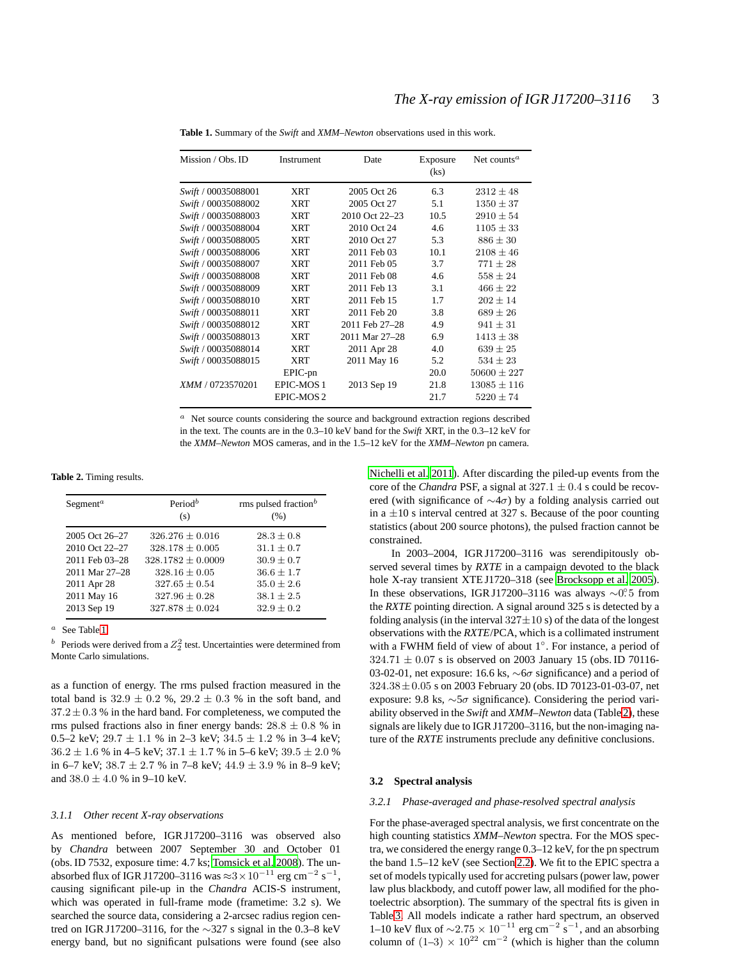| Mission / Obs. ID          | Instrument            | Date           | Exposure<br>(ks) | Net counts <sup><math>a</math></sup> |  |
|----------------------------|-----------------------|----------------|------------------|--------------------------------------|--|
| <i>Swift</i> / 00035088001 | XRT                   | 2005 Oct 26    | 6.3              | $2312 \pm 48$                        |  |
| Swift / 00035088002        | <b>XRT</b>            | 2005 Oct 27    | 5.1              | $1350 \pm 37$                        |  |
| Swift / 00035088003        | <b>XRT</b>            | 2010 Oct 22-23 | 10.5             | $2910 \pm 54$                        |  |
| Swift / 00035088004        | <b>XRT</b>            | 2010 Oct 24    | 4.6              | $1105 \pm 33$                        |  |
| Swift / 00035088005        | XRT                   | 2010 Oct 27    | 5.3              | $886 \pm 30$                         |  |
| Swift / 00035088006        | <b>XRT</b>            | 2011 Feb 03    | 10.1             | $2108 \pm 46$                        |  |
| Swift / 00035088007        | <b>XRT</b>            | 2011 Feb 05    | 3.7              | $771 \pm 28$                         |  |
| Swift / 00035088008        | <b>XRT</b>            | 2011 Feb 08    | 4.6              | $558 \pm 24$                         |  |
| Swift / 00035088009        | <b>XRT</b>            | 2011 Feb 13    | 3.1              | $466 \pm 22$                         |  |
| Swift / 00035088010        | <b>XRT</b>            | 2011 Feb 15    | 1.7              | $202 \pm 14$                         |  |
| Swift / 00035088011        | XRT                   | 2011 Feb 20    | 3.8              | $689 \pm 26$                         |  |
| Swift / 00035088012        | <b>XRT</b>            | 2011 Feb 27-28 | 4.9              | $941 \pm 31$                         |  |
| Swift / 00035088013        | XRT                   | 2011 Mar 27-28 | 6.9              | $1413 \pm 38$                        |  |
| Swift / 00035088014        | XRT                   | 2011 Apr 28    | 4.0              | $639 \pm 25$                         |  |
| Swift / 00035088015        | XRT                   | 2011 May 16    | 5.2              | $534 \pm 23$                         |  |
|                            | EPIC-pn               |                | 20.0             | $50600 \pm 227$                      |  |
| XMM / 0723570201           | EPIC-MOS1             | 2013 Sep 19    | 21.8             | $13085 \pm 116$                      |  |
|                            | EPIC-MOS <sub>2</sub> |                | 21.7             | $5220 \pm 74$                        |  |

<span id="page-2-0"></span>**Table 1.** Summary of the *Swift* and *XMM–Newton* observations used in this work.

<sup>a</sup> Net source counts considering the source and background extraction regions described in the text. The counts are in the 0.3–10 keV band for the *Swift* XRT, in the 0.3–12 keV for the *XMM–Newton* MOS cameras, and in the 1.5–12 keV for the *XMM–Newton* pn camera.

**Table 2.** Timing results.

<span id="page-2-1"></span>

| Segment <sup><math>a</math></sup> | Period <sup>b</sup><br>(s) | rms pulsed fraction <sup>b</sup><br>(% ) |  |  |
|-----------------------------------|----------------------------|------------------------------------------|--|--|
| 2005 Oct 26–27                    | $326.276 \pm 0.016$        | $28.3 + 0.8$                             |  |  |
| 2010 Oct 22-27                    | $328.178 \pm 0.005$        | $31.1 + 0.7$                             |  |  |
| 2011 Feb 03-28                    | $328.1782 \pm 0.0009$      | $30.9 + 0.7$                             |  |  |
| 2011 Mar 27-28                    | $328.16 \pm 0.05$          | $36.6 + 1.7$                             |  |  |
| 2011 Apr 28                       | $327.65 \pm 0.54$          | $35.0 \pm 2.6$                           |  |  |
| 2011 May 16                       | $327.96 \pm 0.28$          | $38.1 \pm 2.5$                           |  |  |
| 2013 Sep 19                       | $327.878 \pm 0.024$        | $32.9 \pm 0.2$                           |  |  |

 $a$  See Table [1.](#page-2-0)

<sup>b</sup> Periods were derived from a  $Z_2^2$  test. Uncertainties were determined from Monte Carlo simulations.

as a function of energy. The rms pulsed fraction measured in the total band is  $32.9 \pm 0.2$  %,  $29.2 \pm 0.3$  % in the soft band, and  $37.2 \pm 0.3$  % in the hard band. For completeness, we computed the rms pulsed fractions also in finer energy bands:  $28.8 \pm 0.8$  % in 0.5–2 keV;  $29.7 \pm 1.1$  % in 2–3 keV;  $34.5 \pm 1.2$  % in 3–4 keV;  $36.2 \pm 1.6$  % in 4–5 keV;  $37.1 \pm 1.7$  % in 5–6 keV;  $39.5 \pm 2.0$  % in 6–7 keV;  $38.7 \pm 2.7$  % in 7–8 keV;  $44.9 \pm 3.9$  % in 8–9 keV; and  $38.0 + 4.0$  % in 9–10 keV.

#### *3.1.1 Other recent X-ray observations*

As mentioned before, IGR J17200–3116 was observed also by *Chandra* between 2007 September 30 and October 01 (obs. ID 7532, exposure time: 4.7 ks; [Tomsick et al. 2008](#page-7-4)). The unabsorbed flux of IGR J17200–3116 was  $\approx$ 3 × 10<sup>-11</sup> erg cm<sup>-2</sup> s<sup>-1</sup>, causing significant pile-up in the *Chandra* ACIS-S instrument, which was operated in full-frame mode (frametime: 3.2 s). We searched the source data, considering a 2-arcsec radius region centred on IGR J17200–3116, for the ∼327 s signal in the 0.3–8 keV energy band, but no significant pulsations were found (see also

[Nichelli et al. 2011](#page-7-5)). After discarding the piled-up events from the core of the *Chandra* PSF, a signal at  $327.1 \pm 0.4$  s could be recovered (with significance of  $\sim$ 4 $\sigma$ ) by a folding analysis carried out in a  $\pm 10$  s interval centred at 327 s. Because of the poor counting statistics (about 200 source photons), the pulsed fraction cannot be constrained.

In 2003–2004, IGR J17200–3116 was serendipitously observed several times by *RXTE* in a campaign devoted to the black hole X-ray transient XTE J1720–318 (see [Brocksopp et al. 2005](#page-7-17)). In these observations, IGR J17200-3116 was always ~0.<sup>o</sup>.5 from the *RXTE* pointing direction. A signal around 325 s is detected by a folding analysis (in the interval  $327 \pm 10$  s) of the data of the longest observations with the *RXTE*/PCA, which is a collimated instrument with a FWHM field of view of about 1°. For instance, a period of  $324.71 \pm 0.07$  s is observed on 2003 January 15 (obs. ID 70116-03-02-01, net exposure: 16.6 ks, ∼6σ significance) and a period of 324.38±0.05 s on 2003 February 20 (obs. ID 70123-01-03-07, net exposure: 9.8 ks,  $\sim 5\sigma$  significance). Considering the period variability observed in the *Swift* and *XMM–Newton* data (Table [2\)](#page-2-1), these signals are likely due to IGR J17200–3116, but the non-imaging nature of the *RXTE* instruments preclude any definitive conclusions.

#### **3.2 Spectral analysis**

#### *3.2.1 Phase-averaged and phase-resolved spectral analysis*

For the phase-averaged spectral analysis, we first concentrate on the high counting statistics *XMM–Newton* spectra. For the MOS spectra, we considered the energy range 0.3–12 keV, for the pn spectrum the band 1.5–12 keV (see Section [2.2\)](#page-1-4). We fit to the EPIC spectra a set of models typically used for accreting pulsars (power law, power law plus blackbody, and cutoff power law, all modified for the photoelectric absorption). The summary of the spectral fits is given in Table [3.](#page-5-0) All models indicate a rather hard spectrum, an observed 1–10 keV flux of  $\sim$ 2.75 × 10<sup>-11</sup> erg cm<sup>-2</sup> s<sup>-1</sup>, and an absorbing column of  $(1-3) \times 10^{22}$  cm<sup>-2</sup> (which is higher than the column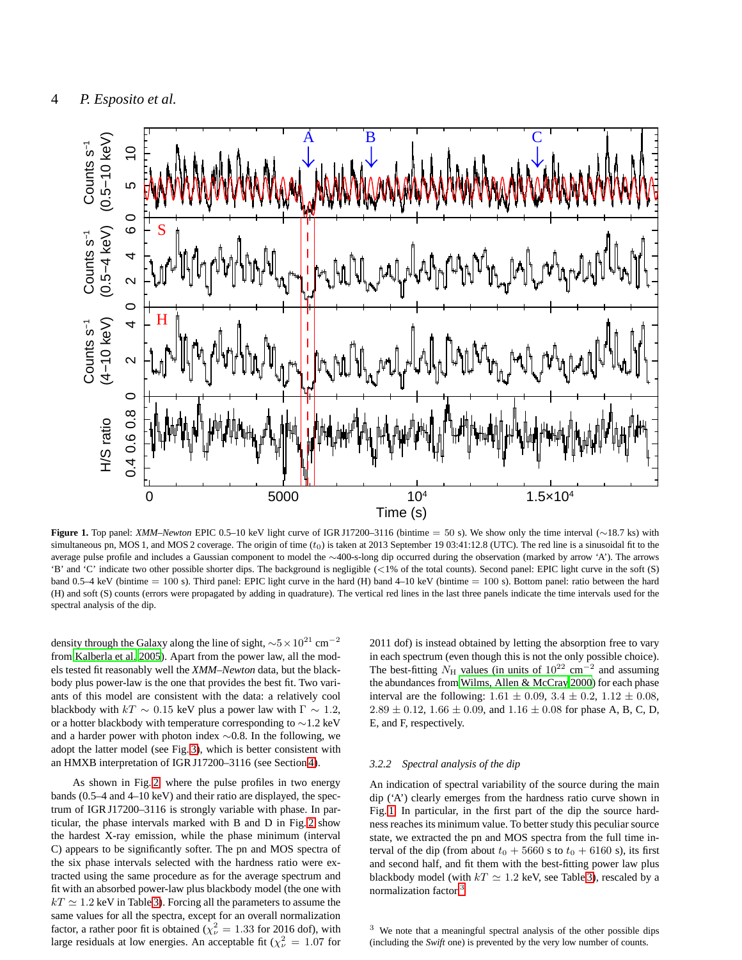

<span id="page-3-0"></span>**Figure 1.** Top panel: *XMM–Newton* EPIC 0.5–10 keV light curve of IGR J17200–3116 (bintime = 50 s). We show only the time interval (∼18.7 ks) with simultaneous pn, MOS 1, and MOS 2 coverage. The origin of time  $(t_0)$  is taken at 2013 September 19 03:41:12.8 (UTC). The red line is a sinusoidal fit to the average pulse profile and includes a Gaussian component to model the ∼400-s-long dip occurred during the observation (marked by arrow 'A'). The arrows 'B' and 'C' indicate two other possible shorter dips. The background is negligible (<1% of the total counts). Second panel: EPIC light curve in the soft (S) band  $0.5-4$  keV (bintime  $= 100$  s). Third panel: EPIC light curve in the hard (H) band  $4-10$  keV (bintime  $= 100$  s). Bottom panel: ratio between the hard (H) and soft (S) counts (errors were propagated by adding in quadrature). The vertical red lines in the last three panels indicate the time intervals used for the spectral analysis of the dip.

density through the Galaxy along the line of sight,  ${\sim}5 \times 10^{21} {\rm~cm^{-2}}$ from [Kalberla et al. 2005\)](#page-7-18). Apart from the power law, all the models tested fit reasonably well the *XMM–Newton* data, but the blackbody plus power-law is the one that provides the best fit. Two variants of this model are consistent with the data: a relatively cool blackbody with  $kT \sim 0.15$  keV plus a power law with  $\Gamma \sim 1.2$ , or a hotter blackbody with temperature corresponding to ∼1.2 keV and a harder power with photon index ∼0.8. In the following, we adopt the latter model (see Fig. [3\)](#page-4-2), which is better consistent with an HMXB interpretation of IGR J17200–3116 (see Section [4\)](#page-4-0).

As shown in Fig[. 2,](#page-4-1) where the pulse profiles in two energy bands (0.5–4 and 4–10 keV) and their ratio are displayed, the spectrum of IGR J17200–3116 is strongly variable with phase. In particular, the phase intervals marked with B and D in Fig. [2](#page-4-1) show the hardest X-ray emission, while the phase minimum (interval C) appears to be significantly softer. The pn and MOS spectra of the six phase intervals selected with the hardness ratio were extracted using the same procedure as for the average spectrum and fit with an absorbed power-law plus blackbody model (the one with  $kT \simeq 1.2$  keV in Table [3\)](#page-5-0). Forcing all the parameters to assume the same values for all the spectra, except for an overall normalization factor, a rather poor fit is obtained ( $\chi^2_{\nu} = 1.33$  for 2016 dof), with large residuals at low energies. An acceptable fit ( $\chi^2_{\nu} = 1.07$  for

2011 dof) is instead obtained by letting the absorption free to vary in each spectrum (even though this is not the only possible choice). The best-fitting  $N_H$  values (in units of  $10^{22}$  cm<sup>-2</sup> and assuming the abundances from [Wilms, Allen & McCray 2000\)](#page-7-19) for each phase interval are the following:  $1.61 \pm 0.09$ ,  $3.4 \pm 0.2$ ,  $1.12 \pm 0.08$ ,  $2.89 \pm 0.12$ ,  $1.66 \pm 0.09$ , and  $1.16 \pm 0.08$  for phase A, B, C, D, E, and F, respectively.

#### *3.2.2 Spectral analysis of the dip*

An indication of spectral variability of the source during the main dip ('A') clearly emerges from the hardness ratio curve shown in Fig. [1.](#page-3-0) In particular, in the first part of the dip the source hardness reaches its minimum value. To better study this peculiar source state, we extracted the pn and MOS spectra from the full time interval of the dip (from about  $t_0 + 5660$  s to  $t_0 + 6160$  s), its first and second half, and fit them with the best-fitting power law plus blackbody model (with  $kT \simeq 1.2$  keV, see Table [3\)](#page-5-0), rescaled by a normalization factor.<sup>[3](#page-3-1)</sup>

<span id="page-3-1"></span><sup>3</sup> We note that a meaningful spectral analysis of the other possible dips (including the *Swift* one) is prevented by the very low number of counts.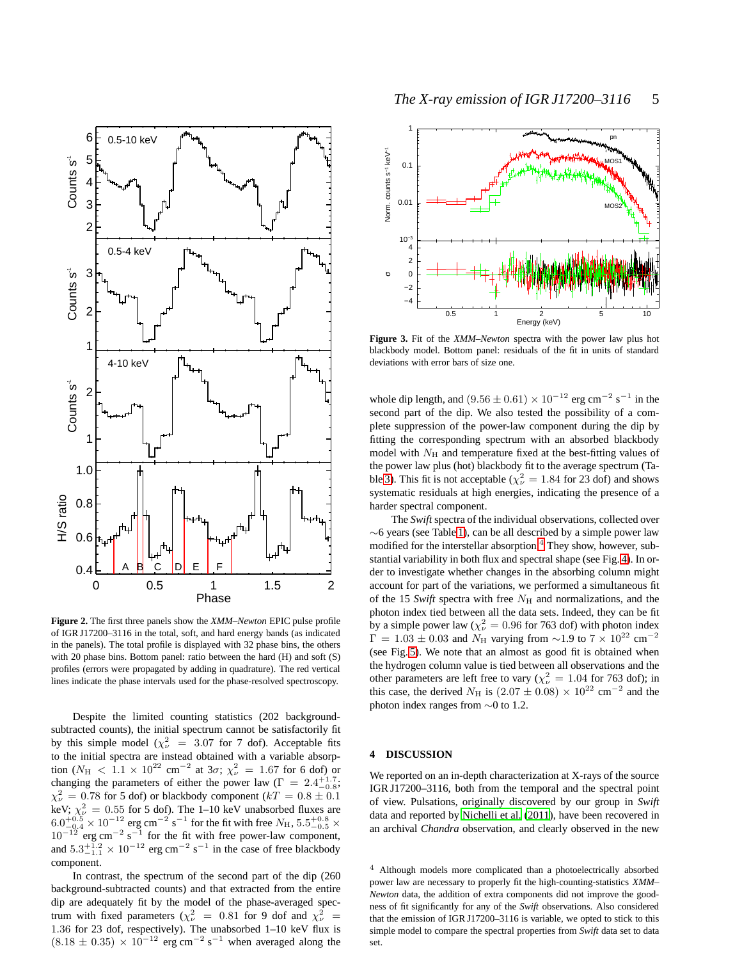

<span id="page-4-1"></span>**Figure 2.** The first three panels show the *XMM–Newton* EPIC pulse profile of IGR J17200–3116 in the total, soft, and hard energy bands (as indicated in the panels). The total profile is displayed with 32 phase bins, the others with 20 phase bins. Bottom panel: ratio between the hard (H) and soft (S) profiles (errors were propagated by adding in quadrature). The red vertical lines indicate the phase intervals used for the phase-resolved spectroscopy.

Despite the limited counting statistics (202 backgroundsubtracted counts), the initial spectrum cannot be satisfactorily fit by this simple model ( $\chi^2_{\nu}$  = 3.07 for 7 dof). Acceptable fits to the initial spectra are instead obtained with a variable absorption ( $N_{\rm H}$  < 1.1 × 10<sup>22</sup> cm<sup>-2</sup> at 3 $\sigma$ ;  $\chi^2_{\nu}$  = 1.67 for 6 dof) or changing the parameters of either the power law  $(\Gamma = 2.4^{+1.7}_{-0.8};$  $\chi^2_{\nu} = 0.78$  for 5 dof) or blackbody component ( $kT = 0.8 \pm 0.1$ keV;  $\chi^2_{\nu} = 0.55$  for 5 dof). The 1–10 keV unabsorbed fluxes are  $6.0^{+0.5}_{-0.4}\times10^{-12}$  erg cm<sup>-2</sup> s<sup>-1</sup> for the fit with free  $N_{\rm H}$ ,  $5.5^{+0.8}_{-0.5}\times$  $10^{-12}$  erg cm<sup>-2</sup> s<sup>-1</sup> for the fit with free power-law component, and  $5.3^{+1.2}_{-1.1} \times 10^{-12}$  erg cm<sup>-2</sup> s<sup>-1</sup> in the case of free blackbody component.

In contrast, the spectrum of the second part of the dip (260 background-subtracted counts) and that extracted from the entire dip are adequately fit by the model of the phase-averaged spectrum with fixed parameters ( $\chi^2_{\nu}$  = 0.81 for 9 dof and  $\chi^2_{\nu}$  = 1.36 for 23 dof, respectively). The unabsorbed 1–10 keV flux is  $(8.18 \pm 0.35) \times 10^{-12}$  erg cm<sup>-2</sup> s<sup>-1</sup> when averaged along the



<span id="page-4-2"></span>**Figure 3.** Fit of the *XMM–Newton* spectra with the power law plus hot blackbody model. Bottom panel: residuals of the fit in units of standard deviations with error bars of size one.

whole dip length, and  $(9.56 \pm 0.61) \times 10^{-12}$  erg cm<sup>-2</sup> s<sup>-1</sup> in the second part of the dip. We also tested the possibility of a complete suppression of the power-law component during the dip by fitting the corresponding spectrum with an absorbed blackbody model with  $N_{\rm H}$  and temperature fixed at the best-fitting values of the power law plus (hot) blackbody fit to the average spectrum (Ta-ble [3\)](#page-5-0). This fit is not acceptable ( $\chi^2_{\nu} = 1.84$  for 23 dof) and shows systematic residuals at high energies, indicating the presence of a harder spectral component.

The *Swift* spectra of the individual observations, collected over ∼6 years (see Table [1\)](#page-2-0), can be all described by a simple power law modified for the interstellar absorption.<sup>[4](#page-4-3)</sup> They show, however, substantial variability in both flux and spectral shape (see Fig. [4\)](#page-6-0). In order to investigate whether changes in the absorbing column might account for part of the variations, we performed a simultaneous fit of the 15 *Swift* spectra with free  $N_H$  and normalizations, and the photon index tied between all the data sets. Indeed, they can be fit by a simple power law ( $\chi^2_{\nu} = 0.96$  for 763 dof) with photon index  $\Gamma = 1.03 \pm 0.03$  and  $N_H$  varying from ~1.9 to  $7 \times 10^{22}$  cm<sup>-2</sup> (see Fig. [5\)](#page-6-1). We note that an almost as good fit is obtained when the hydrogen column value is tied between all observations and the other parameters are left free to vary ( $\chi^2_{\nu} = 1.04$  for 763 dof); in this case, the derived  $N_H$  is  $(2.07 \pm 0.08) \times 10^{22}$  cm<sup>-2</sup> and the photon index ranges from ∼0 to 1.2.

## <span id="page-4-0"></span>**4 DISCUSSION**

We reported on an in-depth characterization at X-rays of the source IGR J17200–3116, both from the temporal and the spectral point of view. Pulsations, originally discovered by our group in *Swift* data and reported by [Nichelli et al.](#page-7-5) [\(2011](#page-7-5)), have been recovered in an archival *Chandra* observation, and clearly observed in the new

<span id="page-4-3"></span><sup>4</sup> Although models more complicated than a photoelectrically absorbed power law are necessary to properly fit the high-counting-statistics *XMM– Newton* data, the addition of extra components did not improve the goodness of fit significantly for any of the *Swift* observations. Also considered that the emission of IGR J17200–3116 is variable, we opted to stick to this simple model to compare the spectral properties from *Swift* data set to data set.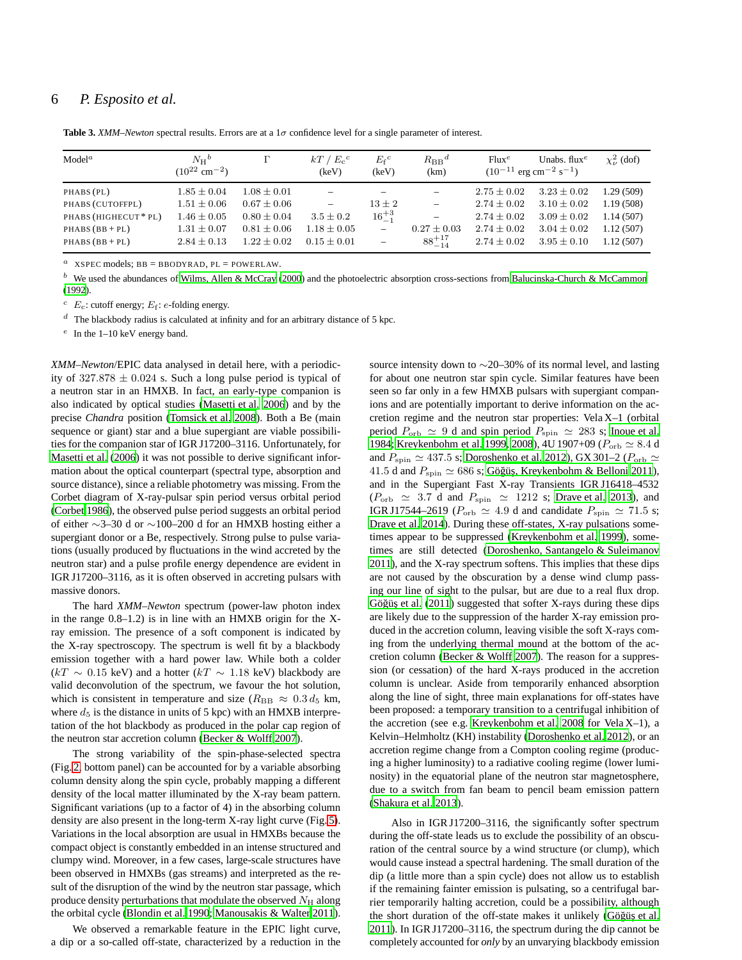# 6 *P. Esposito et al.*

| Model <sup>a</sup>                                                                          | $N_{\rm H}^{\ b}$<br>$(10^{22}$ cm <sup>-2</sup> )                                          | г                                                                                         | $kT / E_c^c$<br>(keV)                                                         | $E_f{}^c$<br>(keV)                                                            | $R_{\rm BB}{}^d$<br>(km)                                                                    | $Flux^e$                                                                                    | Unabs. $fluxe$<br>$(10^{-11} \text{ erg cm}^{-2} \text{ s}^{-1})$                           | $\chi^2_{\nu}$ (dof)                                          |
|---------------------------------------------------------------------------------------------|---------------------------------------------------------------------------------------------|-------------------------------------------------------------------------------------------|-------------------------------------------------------------------------------|-------------------------------------------------------------------------------|---------------------------------------------------------------------------------------------|---------------------------------------------------------------------------------------------|---------------------------------------------------------------------------------------------|---------------------------------------------------------------|
| PHABS (PL)<br>PHABS (CUTOFFPL)<br>PHABS (HIGHECUT * PL)<br>$PHABS(BB+PL)$<br>$PHABS(BB+PL)$ | $1.85 \pm 0.04$<br>$1.51 \pm 0.06$<br>$1.46 \pm 0.05$<br>$1.31 \pm 0.07$<br>$2.84 \pm 0.13$ | $1.08 \pm 0.01$<br>$0.67 \pm 0.06$<br>$0.80 \pm 0.04$<br>$0.81 \pm 0.06$<br>$1.22 + 0.02$ | $\overline{\phantom{0}}$<br>$3.5 \pm 0.2$<br>$1.18 \pm 0.05$<br>$0.15 + 0.01$ | $13 \pm 2$<br>$16^{+3}_{-1}$<br>$\qquad \qquad -$<br>$\overline{\phantom{0}}$ | $\overline{\phantom{m}}$<br>$\overline{\phantom{m}}$<br>$0.27 \pm 0.03$<br>$88^{+17}_{-14}$ | $2.75 \pm 0.02$<br>$2.74 \pm 0.02$<br>$2.74 \pm 0.02$<br>$2.74 \pm 0.02$<br>$2.74 \pm 0.02$ | $3.23 \pm 0.02$<br>$3.10 \pm 0.02$<br>$3.09 \pm 0.02$<br>$3.04 \pm 0.02$<br>$3.95 \pm 0.10$ | 1.29(509)<br>1.19(508)<br>1.14(507)<br>1.12(507)<br>1.12(507) |

<span id="page-5-0"></span>**Table 3.** *XMM–Newton* spectral results. Errors are at a  $1\sigma$  confidence level for a single parameter of interest.

<sup>a</sup> XSPEC models;  $BB = BBODYRAD$ ,  $PL = POWERLAW$ .

 $<sup>b</sup>$  We used the abundances of [Wilms, Allen & McCray \(2000\)](#page-7-19) and the photoelectric absorption cross-sections from [Balucinska-Church & McCammon](#page-7-20)</sup> [\(1992\)](#page-7-20).

 $c$   $E_c$ : cutoff energy;  $E_f$ : e-folding energy.

 $d$  The blackbody radius is calculated at infinity and for an arbitrary distance of 5 kpc.

 $e$  In the 1-10 keV energy band.

*XMM–Newton*/EPIC data analysed in detail here, with a periodicity of  $327.878 \pm 0.024$  s. Such a long pulse period is typical of a neutron star in an HMXB. In fact, an early-type companion is also indicated by optical studies [\(Masetti et al. 2006](#page-7-3)) and by the precise *Chandra* position [\(Tomsick et al. 2008](#page-7-4)). Both a Be (main sequence or giant) star and a blue supergiant are viable possibilities for the companion star of IGR J17200–3116. Unfortunately, for [Masetti et al. \(2006](#page-7-3)) it was not possible to derive significant information about the optical counterpart (spectral type, absorption and source distance), since a reliable photometry was missing. From the Corbet diagram of X-ray-pulsar spin period versus orbital period [\(Corbet 1986](#page-7-21)), the observed pulse period suggests an orbital period of either ∼3–30 d or ∼100–200 d for an HMXB hosting either a supergiant donor or a Be, respectively. Strong pulse to pulse variations (usually produced by fluctuations in the wind accreted by the neutron star) and a pulse profile energy dependence are evident in IGR J17200–3116, as it is often observed in accreting pulsars with massive donors.

The hard *XMM–Newton* spectrum (power-law photon index in the range 0.8–1.2) is in line with an HMXB origin for the Xray emission. The presence of a soft component is indicated by the X-ray spectroscopy. The spectrum is well fit by a blackbody emission together with a hard power law. While both a colder  $(kT \sim 0.15 \text{ keV})$  and a hotter  $(kT \sim 1.18 \text{ keV})$  blackbody are valid deconvolution of the spectrum, we favour the hot solution, which is consistent in temperature and size ( $R_{\text{BB}} \approx 0.3 d_5$  km, where  $d_5$  is the distance in units of 5 kpc) with an HMXB interpretation of the hot blackbody as produced in the polar cap region of the neutron star accretion column [\(Becker & Wolff 2007\)](#page-7-22).

The strong variability of the spin-phase-selected spectra (Fig. [2,](#page-4-1) bottom panel) can be accounted for by a variable absorbing column density along the spin cycle, probably mapping a different density of the local matter illuminated by the X-ray beam pattern. Significant variations (up to a factor of 4) in the absorbing column density are also present in the long-term X-ray light curve (Fig. [5\)](#page-6-1). Variations in the local absorption are usual in HMXBs because the compact object is constantly embedded in an intense structured and clumpy wind. Moreover, in a few cases, large-scale structures have been observed in HMXBs (gas streams) and interpreted as the result of the disruption of the wind by the neutron star passage, which produce density perturbations that modulate the observed  $N_{\rm H}$  along the orbital cycle [\(Blondin et al. 1990;](#page-7-23) [Manousakis & Walter 2011\)](#page-7-24).

We observed a remarkable feature in the EPIC light curve, a dip or a so-called off-state, characterized by a reduction in the

source intensity down to ∼20–30% of its normal level, and lasting for about one neutron star spin cycle. Similar features have been seen so far only in a few HMXB pulsars with supergiant companions and are potentially important to derive information on the accretion regime and the neutron star properties: Vela X–1 (orbital period  $P_{\text{orb}} \simeq 9$  d and spin period  $P_{\text{spin}} \simeq 283$  s; [Inoue et al.](#page-7-25) [1984](#page-7-25); [Kreykenbohm et al. 1999](#page-7-26), [2008](#page-7-27)), 4U 1907+09 ( $P_{\text{orb}} \simeq 8.4$  d and  $P_{\text{spin}} \simeq 437.5$  s; [Doroshenko et al. 2012\)](#page-7-28), GX 301–2 ( $P_{\text{orb}} \simeq$ 41.5 d and  $P_{\text{spin}} \simeq 686$  s; Göğüş, Kreykenbohm & Belloni 2011), and in the Supergiant Fast X-ray Transients IGR J16418–4532  $(P_{\rm orb} \simeq 3.7$  d and  $P_{\rm spin} \simeq 1212$  s; [Drave et al. 2013\)](#page-7-11), and IGR J17544–2619 ( $P_{\text{orb}} \simeq 4.9$  d and candidate  $P_{\text{spin}} \simeq 71.5$  s; [Drave et al. 2014](#page-7-30)). During these off-states, X-ray pulsations sometimes appear to be suppressed [\(Kreykenbohm et al. 1999\)](#page-7-26), sometimes are still detected [\(Doroshenko, Santangelo & Suleimanov](#page-7-31) [2011](#page-7-31)), and the X-ray spectrum softens. This implies that these dips are not caused by the obscuration by a dense wind clump passing our line of sight to the pulsar, but are due to a real flux drop. Göğüş et al. (2011) suggested that softer X-rays during these dips are likely due to the suppression of the harder X-ray emission produced in the accretion column, leaving visible the soft X-rays coming from the underlying thermal mound at the bottom of the accretion column [\(Becker & Wolff 2007](#page-7-22)). The reason for a suppression (or cessation) of the hard X-rays produced in the accretion column is unclear. Aside from temporarily enhanced absorption along the line of sight, three main explanations for off-states have been proposed: a temporary transition to a centrifugal inhibition of the accretion (see e.g. [Kreykenbohm et al. 2008](#page-7-27) for Vela  $X-1$ ), a Kelvin–Helmholtz (KH) instability [\(Doroshenko et al. 2012\)](#page-7-28), or an accretion regime change from a Compton cooling regime (producing a higher luminosity) to a radiative cooling regime (lower luminosity) in the equatorial plane of the neutron star magnetosphere, due to a switch from fan beam to pencil beam emission pattern [\(Shakura et al. 2013](#page-7-32)).

Also in IGR J17200–3116, the significantly softer spectrum during the off-state leads us to exclude the possibility of an obscuration of the central source by a wind structure (or clump), which would cause instead a spectral hardening. The small duration of the dip (a little more than a spin cycle) does not allow us to establish if the remaining fainter emission is pulsating, so a centrifugal barrier temporarily halting accretion, could be a possibility, although the short duration of the off-state makes it unlikely (Göğüş et al. [2011](#page-7-29)). In IGR J17200–3116, the spectrum during the dip cannot be completely accounted for *only* by an unvarying blackbody emission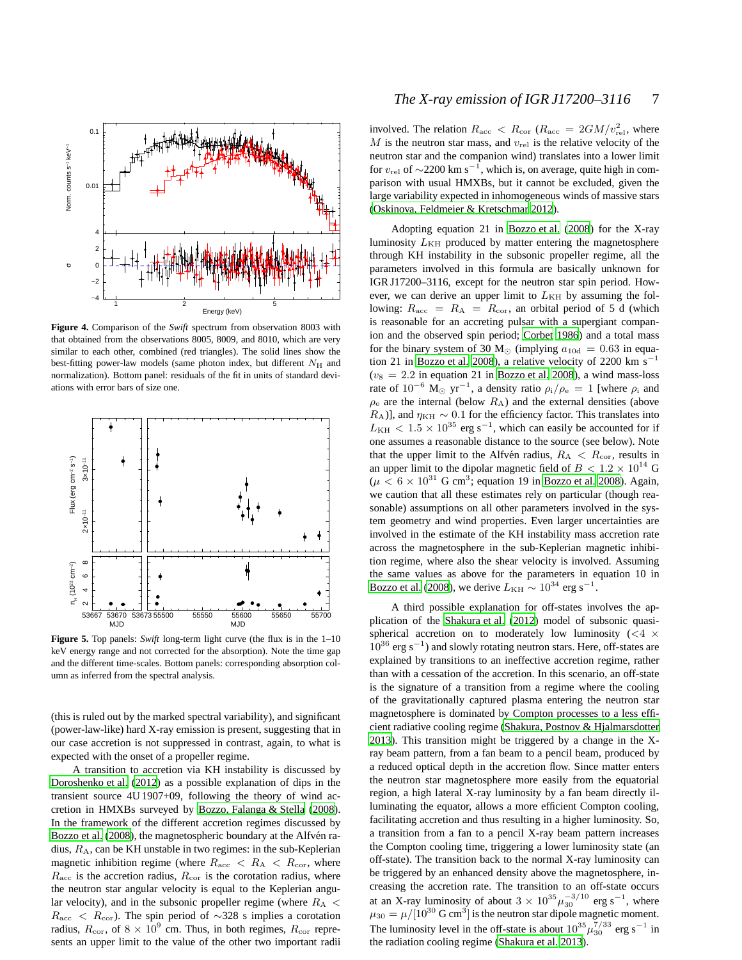

<span id="page-6-0"></span>**Figure 4.** Comparison of the *Swift* spectrum from observation 8003 with that obtained from the observations 8005, 8009, and 8010, which are very similar to each other, combined (red triangles). The solid lines show the best-fitting power-law models (same photon index, but different  $N_{\rm H}$  and normalization). Bottom panel: residuals of the fit in units of standard deviations with error bars of size one.



<span id="page-6-1"></span>**Figure 5.** Top panels: *Swift* long-term light curve (the flux is in the 1–10 keV energy range and not corrected for the absorption). Note the time gap and the different time-scales. Bottom panels: corresponding absorption column as inferred from the spectral analysis.

(this is ruled out by the marked spectral variability), and significant (power-law-like) hard X-ray emission is present, suggesting that in our case accretion is not suppressed in contrast, again, to what is expected with the onset of a propeller regime.

A transition to accretion via KH instability is discussed by [Doroshenko et al.](#page-7-28) [\(2012](#page-7-28)) as a possible explanation of dips in the transient source 4U 1907+09, following the theory of wind accretion in HMXBs surveyed by [Bozzo, Falanga & Stella \(2008](#page-7-33)). In the framework of the different accretion regimes discussed by [Bozzo et al. \(2008\)](#page-7-33), the magnetospheric boundary at the Alfvén radius,  $R_A$ , can be KH unstable in two regimes: in the sub-Keplerian magnetic inhibition regime (where  $R_{\text{acc}} < R_{\text{A}} < R_{\text{cor}}$ , where  $R_{\text{acc}}$  is the accretion radius,  $R_{\text{cor}}$  is the corotation radius, where the neutron star angular velocity is equal to the Keplerian angular velocity), and in the subsonic propeller regime (where  $R_A$  <  $R_{\text{acc}}$  <  $R_{\text{cor}}$ ). The spin period of ~328 s implies a corotation radius,  $R_{\rm cor}$ , of  $8 \times 10^9$  cm. Thus, in both regimes,  $R_{\rm cor}$  represents an upper limit to the value of the other two important radii

involved. The relation  $R_{\text{acc}} < R_{\text{cor}} (R_{\text{acc}} = 2GM/v_{\text{rel}}^2$ , where  $M$  is the neutron star mass, and  $v_{rel}$  is the relative velocity of the neutron star and the companion wind) translates into a lower limit for  $v_{\text{rel}}$  of  $\sim$ 2200 km s<sup>-1</sup>, which is, on average, quite high in comparison with usual HMXBs, but it cannot be excluded, given the large variability expected in inhomogeneous winds of massive stars [\(Oskinova, Feldmeier & Kretschmar 2012](#page-7-34)).

Adopting equation 21 in [Bozzo et al. \(2008](#page-7-33)) for the X-ray luminosity  $L_{\text{KH}}$  produced by matter entering the magnetosphere through KH instability in the subsonic propeller regime, all the parameters involved in this formula are basically unknown for IGR J17200–3116, except for the neutron star spin period. However, we can derive an upper limit to  $L_{KH}$  by assuming the following:  $R_{\text{acc}} = R_{\text{A}} = R_{\text{cor}}$ , an orbital period of 5 d (which is reasonable for an accreting pulsar with a supergiant companion and the observed spin period; [Corbet 1986](#page-7-21)) and a total mass for the binary system of 30 M<sub>☉</sub> (implying  $a_{10d} = 0.63$  in equa-tion 21 in [Bozzo et al. 2008\)](#page-7-33), a relative velocity of 2200 km s<sup>-1</sup>  $(v_8 = 2.2$  in equation 21 in [Bozzo et al. 2008\)](#page-7-33), a wind mass-loss rate of  $10^{-6}$  M<sub>☉</sub> yr<sup>-1</sup>, a density ratio  $\rho_i/\rho_e = 1$  [where  $\rho_i$  and  $\rho_e$  are the internal (below  $R_A$ ) and the external densities (above  $R_A$ )], and  $\eta_{KH} \sim 0.1$  for the efficiency factor. This translates into  $L_{\text{KH}}$  < 1.5 × 10<sup>35</sup> erg s<sup>-1</sup>, which can easily be accounted for if one assumes a reasonable distance to the source (see below). Note that the upper limit to the Alfvén radius,  $R_A < R_{cor}$ , results in an upper limit to the dipolar magnetic field of  $B < 1.2 \times 10^{14}$  G  $(\mu < 6 \times 10^{31} \text{ G cm}^3)$ ; equation 19 in [Bozzo et al. 2008](#page-7-33)). Again, we caution that all these estimates rely on particular (though reasonable) assumptions on all other parameters involved in the system geometry and wind properties. Even larger uncertainties are involved in the estimate of the KH instability mass accretion rate across the magnetosphere in the sub-Keplerian magnetic inhibition regime, where also the shear velocity is involved. Assuming the same values as above for the parameters in equation 10 in [Bozzo et al. \(2008\)](#page-7-33), we derive  $L_{\rm KH} \sim 10^{34}$  erg s<sup>-1</sup>.

A third possible explanation for off-states involves the application of the [Shakura et al.](#page-7-35) [\(2012](#page-7-35)) model of subsonic quasispherical accretion on to moderately low luminosity  $(< 4 \times$  $10^{36}$  erg s<sup>-1</sup>) and slowly rotating neutron stars. Here, off-states are explained by transitions to an ineffective accretion regime, rather than with a cessation of the accretion. In this scenario, an off-state is the signature of a transition from a regime where the cooling of the gravitationally captured plasma entering the neutron star magnetosphere is dominated by Compton processes to a less efficient radiative cooling regime [\(Shakura, Postnov & Hjalmarsdotter](#page-7-32) [2013](#page-7-32)). This transition might be triggered by a change in the Xray beam pattern, from a fan beam to a pencil beam, produced by a reduced optical depth in the accretion flow. Since matter enters the neutron star magnetosphere more easily from the equatorial region, a high lateral X-ray luminosity by a fan beam directly illuminating the equator, allows a more efficient Compton cooling, facilitating accretion and thus resulting in a higher luminosity. So, a transition from a fan to a pencil X-ray beam pattern increases the Compton cooling time, triggering a lower luminosity state (an off-state). The transition back to the normal X-ray luminosity can be triggered by an enhanced density above the magnetosphere, increasing the accretion rate. The transition to an off-state occurs at an X-ray luminosity of about  $3 \times 10^{35} \mu_{30}^{-3/10}$  erg s<sup>-1</sup>, where  $\mu_{30} = \mu/[10^{30} \text{ G cm}^3]$  is the neutron star dipole magnetic moment. The luminosity level in the off-state is about  $10^{35} \mu_{30}^{7/33}$  erg s<sup>-1</sup> in the radiation cooling regime [\(Shakura et al. 2013\)](#page-7-32).